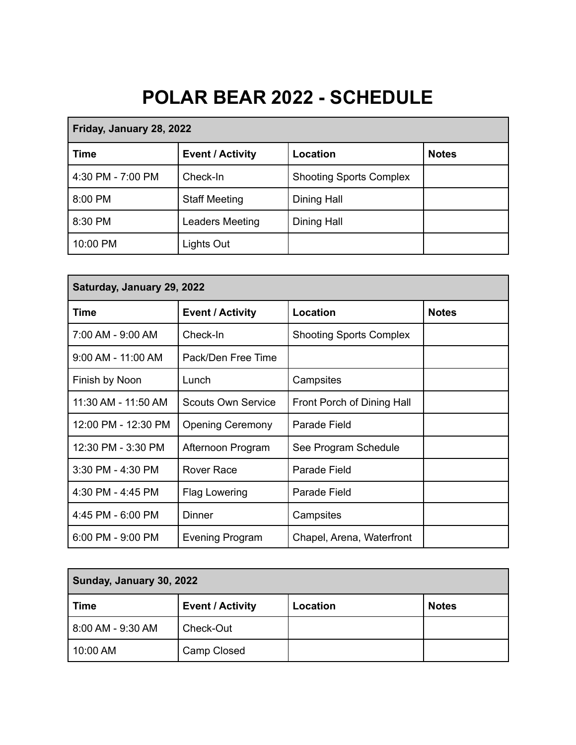## **POLAR BEAR 2022 - SCHEDULE**

| Friday, January 28, 2022 |                         |                                |              |
|--------------------------|-------------------------|--------------------------------|--------------|
| Time                     | <b>Event / Activity</b> | Location                       | <b>Notes</b> |
| 4:30 PM - 7:00 PM        | Check-In                | <b>Shooting Sports Complex</b> |              |
| 8:00 PM                  | <b>Staff Meeting</b>    | Dining Hall                    |              |
| 8:30 PM                  | Leaders Meeting         | Dining Hall                    |              |
| 10:00 PM                 | Lights Out              |                                |              |

| Saturday, January 29, 2022 |                         |                                |              |
|----------------------------|-------------------------|--------------------------------|--------------|
| Time                       | <b>Event / Activity</b> | Location                       | <b>Notes</b> |
| 7:00 AM - 9:00 AM          | Check-In                | <b>Shooting Sports Complex</b> |              |
| $9:00$ AM - 11:00 AM       | Pack/Den Free Time      |                                |              |
| Finish by Noon             | Lunch                   | Campsites                      |              |
| 11:30 AM - 11:50 AM        | Scouts Own Service      | Front Porch of Dining Hall     |              |
| 12:00 PM - 12:30 PM        | <b>Opening Ceremony</b> | Parade Field                   |              |
| 12:30 PM - 3:30 PM         | Afternoon Program       | See Program Schedule           |              |
| $3:30$ PM - 4:30 PM        | Rover Race              | Parade Field                   |              |
| 4:30 PM - 4:45 PM          | <b>Flag Lowering</b>    | Parade Field                   |              |
| 4:45 PM - 6:00 PM          | Dinner                  | Campsites                      |              |
| $6:00$ PM - 9:00 PM        | <b>Evening Program</b>  | Chapel, Arena, Waterfront      |              |

| Sunday, January 30, 2022 |                         |          |              |
|--------------------------|-------------------------|----------|--------------|
| ∣ Time                   | <b>Event / Activity</b> | Location | <b>Notes</b> |
| 8:00 AM - 9:30 AM        | Check-Out               |          |              |
| 10:00 AM                 | Camp Closed             |          |              |